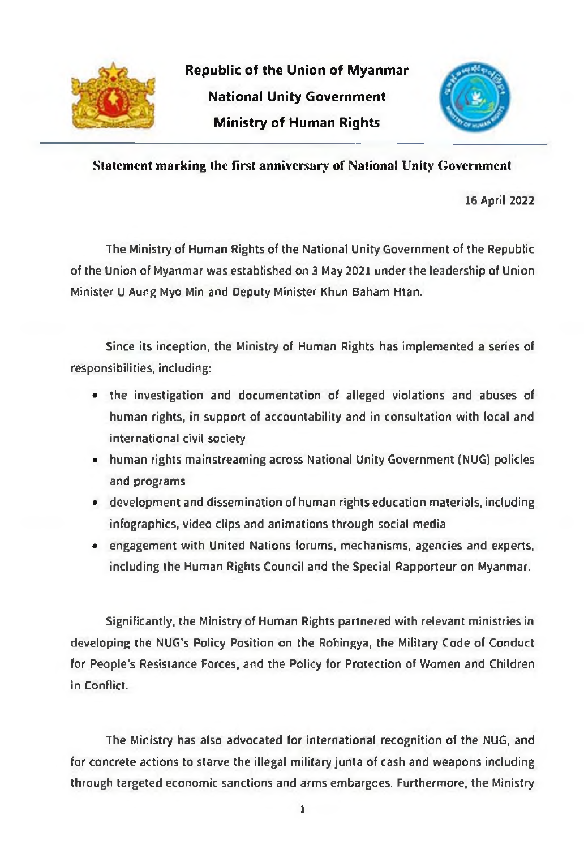

**Republic of the Union of Myanmar** National Unity Government **Ministry of Human Rights** 



Statement marking the first anniversary of National Unity Government

16 April 2022

The Ministry of Human Rights of the National Unity Government of the Republic of the Union of Myanmar was established on 3 May 2021 under the leadership of Union Minister U Aung Myo Min and Deputy Minister Khun Baham Htan.

Since its inception, the Ministry of Human Rights has implemented a series of responsibilities, including:

- the investigation and documentation of alleged violations and abuses of human rights, in support of accountability and in consultation with local and international civil society
- human rights mainstreaming across National Unity Government (NUG) policies and programs
- development and dissemination of human rights education materials, including infographics, video clips and animations through social media
- engagement with United Nations forums, mechanisms, agencies and experts, including the Human Rights Council and the Special Rapporteur on Myanmar.

Significantly, the Ministry of Human Rights partnered with relevant ministries in developing the NUG's Policy Position on the Rohingya, the Military Code of Conduct for People's Resistance Forces, and the Policy for Protection of Women and Children in Conflict.

The Ministry has also advocated for international recognition of the NUG, and for concrete actions to starve the illegal military junta of cash and weapons including through targeted economic sanctions and arms embargoes. Furthermore, the Ministry